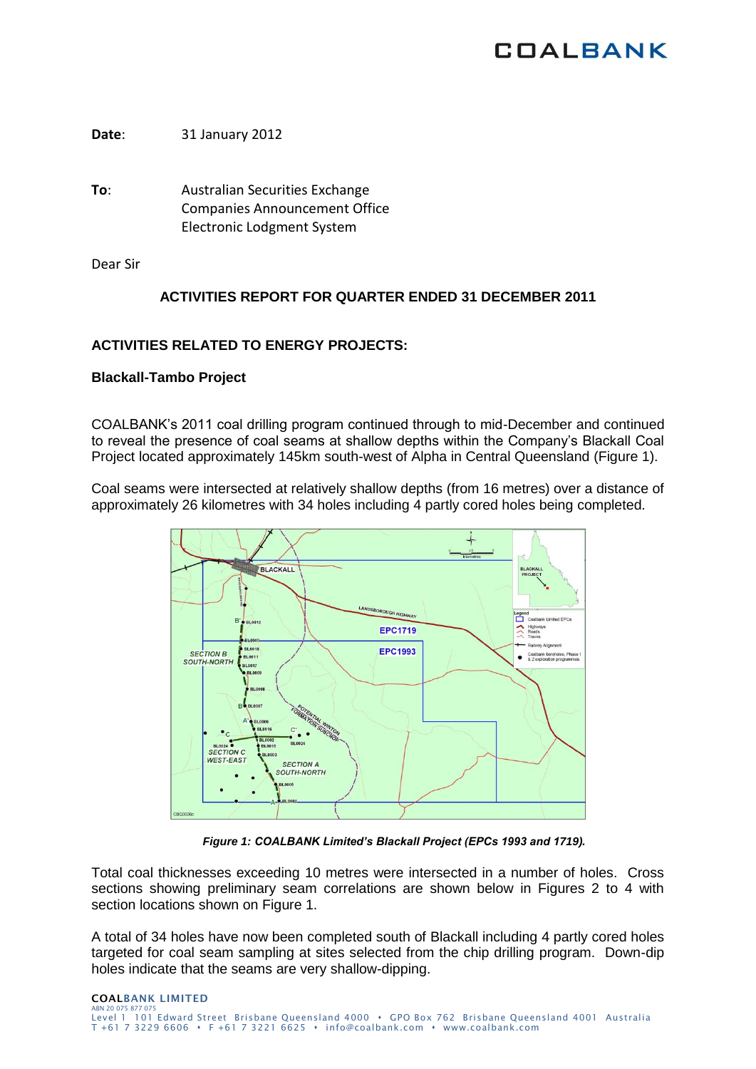# **COALBANK**

**Date**: 31 January 2012

**To**: Australian Securities Exchange Companies Announcement Office Electronic Lodgment System

Dear Sir

# **ACTIVITIES REPORT FOR QUARTER ENDED 31 DECEMBER 2011**

# **ACTIVITIES RELATED TO ENERGY PROJECTS:**

# **Blackall-Tambo Project**

COALBANK's 2011 coal drilling program continued through to mid-December and continued to reveal the presence of coal seams at shallow depths within the Company's Blackall Coal Project located approximately 145km south-west of Alpha in Central Queensland (Figure 1).

Coal seams were intersected at relatively shallow depths (from 16 metres) over a distance of approximately 26 kilometres with 34 holes including 4 partly cored holes being completed.



*Figure 1: COALBANK Limited's Blackall Project (EPCs 1993 and 1719).*

Total coal thicknesses exceeding 10 metres were intersected in a number of holes. Cross sections showing preliminary seam correlations are shown below in Figures 2 to 4 with section locations shown on Figure 1.

A total of 34 holes have now been completed south of Blackall including 4 partly cored holes targeted for coal seam sampling at sites selected from the chip drilling program. Down-dip holes indicate that the seams are very shallow-dipping.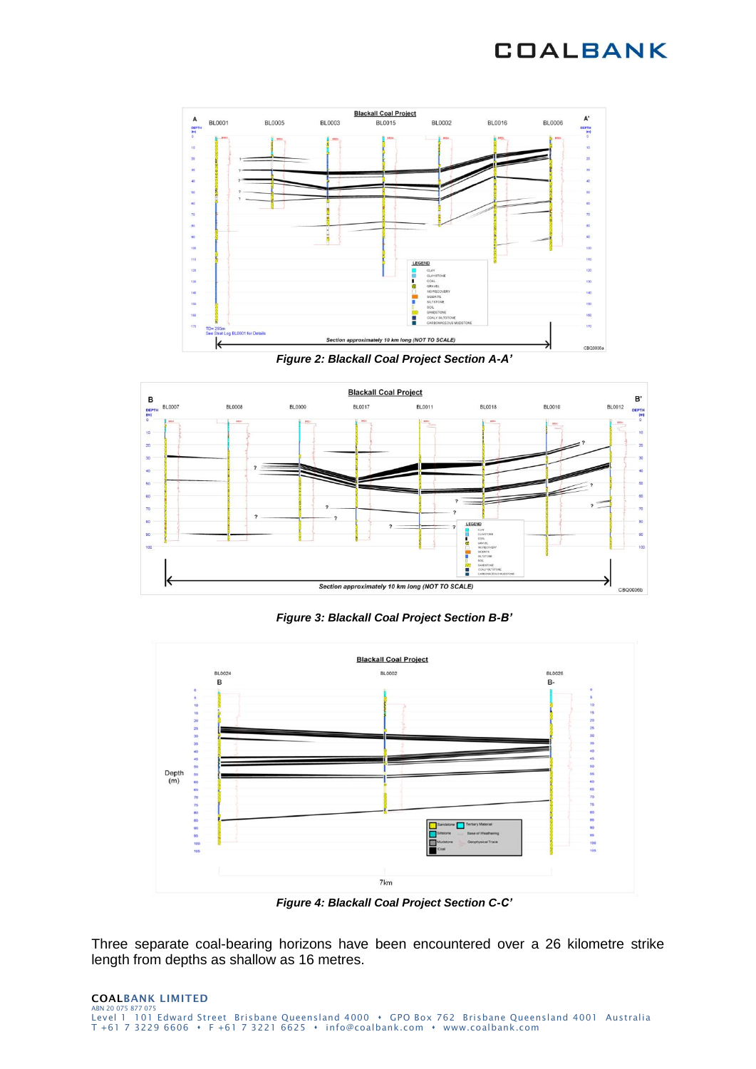# **COALBANK**



*Figure 2: Blackall Coal Project Section A-A'*



*Figure 3: Blackall Coal Project Section B-B'*



*Figure 4: Blackall Coal Project Section C-C'*

Three separate coal-bearing horizons have been encountered over a 26 kilometre strike length from depths as shallow as 16 metres.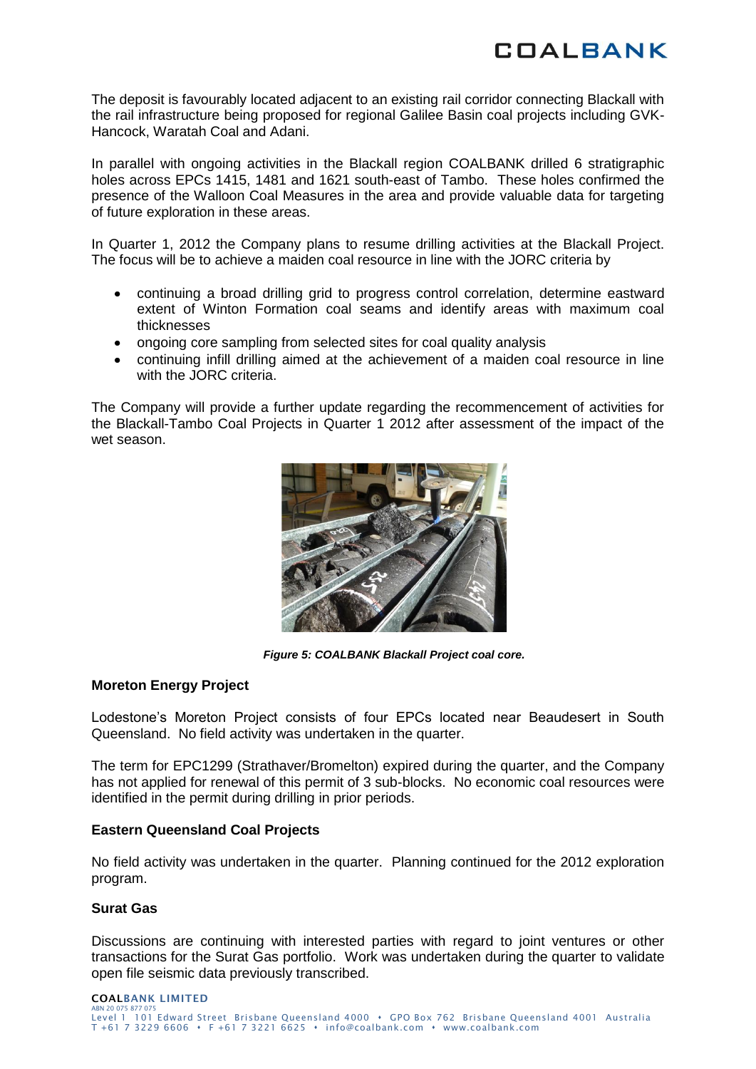The deposit is favourably located adjacent to an existing rail corridor connecting Blackall with the rail infrastructure being proposed for regional Galilee Basin coal projects including GVK-Hancock, Waratah Coal and Adani.

In parallel with ongoing activities in the Blackall region COALBANK drilled 6 stratigraphic holes across EPCs 1415, 1481 and 1621 south-east of Tambo. These holes confirmed the presence of the Walloon Coal Measures in the area and provide valuable data for targeting of future exploration in these areas.

In Quarter 1, 2012 the Company plans to resume drilling activities at the Blackall Project. The focus will be to achieve a maiden coal resource in line with the JORC criteria by

- continuing a broad drilling grid to progress control correlation, determine eastward  $\bullet$ extent of Winton Formation coal seams and identify areas with maximum coal thicknesses
- ongoing core sampling from selected sites for coal quality analysis
- continuing infill drilling aimed at the achievement of a maiden coal resource in line with the JORC criteria.

The Company will provide a further update regarding the recommencement of activities for the Blackall-Tambo Coal Projects in Quarter 1 2012 after assessment of the impact of the wet season.



*Figure 5: COALBANK Blackall Project coal core.*

#### **Moreton Energy Project**

Lodestone's Moreton Project consists of four EPCs located near Beaudesert in South Queensland. No field activity was undertaken in the quarter.

The term for EPC1299 (Strathaver/Bromelton) expired during the quarter, and the Company has not applied for renewal of this permit of 3 sub-blocks. No economic coal resources were identified in the permit during drilling in prior periods.

### **Eastern Queensland Coal Projects**

No field activity was undertaken in the quarter. Planning continued for the 2012 exploration program.

#### **Surat Gas**

Discussions are continuing with interested parties with regard to joint ventures or other transactions for the Surat Gas portfolio. Work was undertaken during the quarter to validate open file seismic data previously transcribed.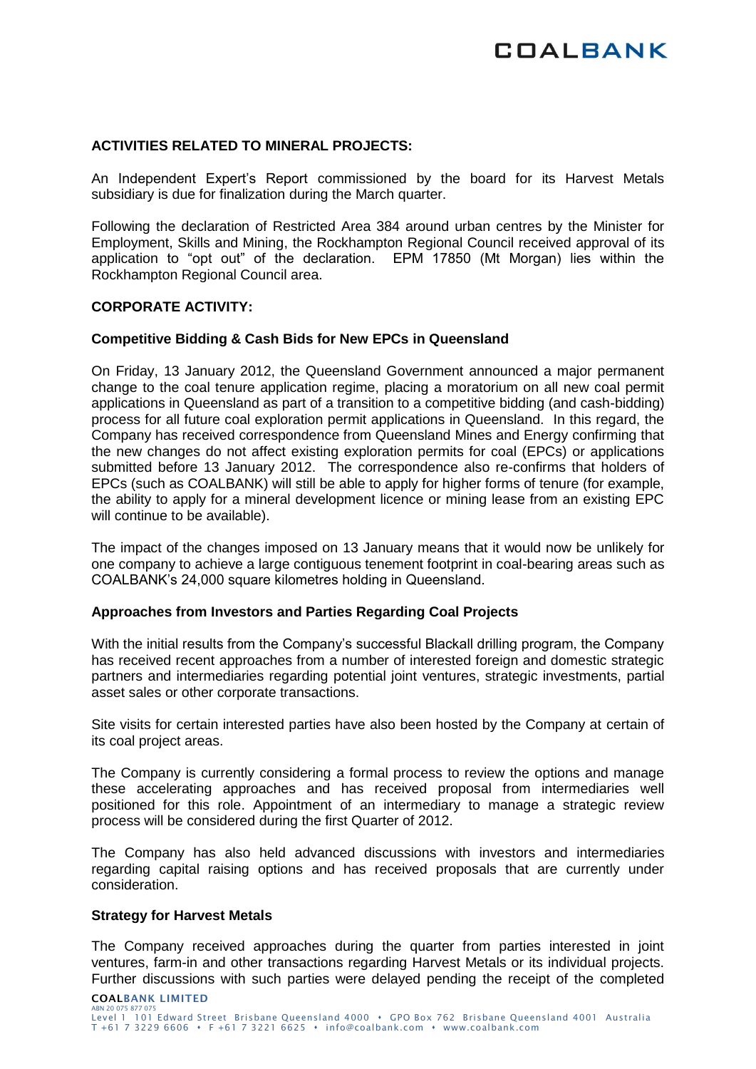# **ACTIVITIES RELATED TO MINERAL PROJECTS:**

An Independent Expert's Report commissioned by the board for its Harvest Metals subsidiary is due for finalization during the March quarter.

Following the declaration of Restricted Area 384 around urban centres by the Minister for Employment, Skills and Mining, the Rockhampton Regional Council received approval of its application to "opt out" of the declaration. EPM 17850 (Mt Morgan) lies within the Rockhampton Regional Council area.

# **CORPORATE ACTIVITY:**

## **Competitive Bidding & Cash Bids for New EPCs in Queensland**

On Friday, 13 January 2012, the Queensland Government announced a major permanent change to the coal tenure application regime, placing a moratorium on all new coal permit applications in Queensland as part of a transition to a competitive bidding (and cash-bidding) process for all future coal exploration permit applications in Queensland. In this regard, the Company has received correspondence from Queensland Mines and Energy confirming that the new changes do not affect existing exploration permits for coal (EPCs) or applications submitted before 13 January 2012. The correspondence also re-confirms that holders of EPCs (such as COALBANK) will still be able to apply for higher forms of tenure (for example, the ability to apply for a mineral development licence or mining lease from an existing EPC will continue to be available).

The impact of the changes imposed on 13 January means that it would now be unlikely for one company to achieve a large contiguous tenement footprint in coal-bearing areas such as COALBANK's 24,000 square kilometres holding in Queensland.

#### **Approaches from Investors and Parties Regarding Coal Projects**

With the initial results from the Company's successful Blackall drilling program, the Company has received recent approaches from a number of interested foreign and domestic strategic partners and intermediaries regarding potential joint ventures, strategic investments, partial asset sales or other corporate transactions.

Site visits for certain interested parties have also been hosted by the Company at certain of its coal project areas.

The Company is currently considering a formal process to review the options and manage these accelerating approaches and has received proposal from intermediaries well positioned for this role. Appointment of an intermediary to manage a strategic review process will be considered during the first Quarter of 2012.

The Company has also held advanced discussions with investors and intermediaries regarding capital raising options and has received proposals that are currently under consideration.

### **Strategy for Harvest Metals**

The Company received approaches during the quarter from parties interested in joint ventures, farm-in and other transactions regarding Harvest Metals or its individual projects. Further discussions with such parties were delayed pending the receipt of the completed